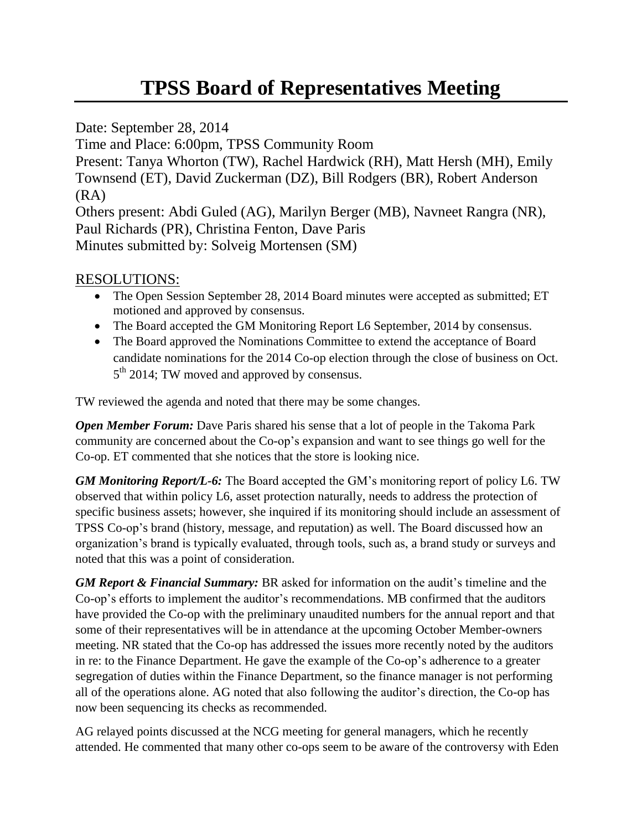## **TPSS Board of Representatives Meeting**

Date: September 28, 2014

Time and Place: 6:00pm, TPSS Community Room

Present: Tanya Whorton (TW), Rachel Hardwick (RH), Matt Hersh (MH), Emily Townsend (ET), David Zuckerman (DZ), Bill Rodgers (BR), Robert Anderson (RA)

Others present: Abdi Guled (AG), Marilyn Berger (MB), Navneet Rangra (NR), Paul Richards (PR), Christina Fenton, Dave Paris Minutes submitted by: Solveig Mortensen (SM)

## RESOLUTIONS:

- The Open Session September 28, 2014 Board minutes were accepted as submitted; ET motioned and approved by consensus.
- The Board accepted the GM Monitoring Report L6 September, 2014 by consensus.
- The Board approved the Nominations Committee to extend the acceptance of Board candidate nominations for the 2014 Co-op election through the close of business on Oct. 5<sup>th</sup> 2014; TW moved and approved by consensus.

TW reviewed the agenda and noted that there may be some changes.

*Open Member Forum:* Dave Paris shared his sense that a lot of people in the Takoma Park community are concerned about the Co-op's expansion and want to see things go well for the Co-op. ET commented that she notices that the store is looking nice.

*GM Monitoring Report/L-6:* The Board accepted the GM's monitoring report of policy L6. TW observed that within policy L6, asset protection naturally, needs to address the protection of specific business assets; however, she inquired if its monitoring should include an assessment of TPSS Co-op's brand (history, message, and reputation) as well. The Board discussed how an organization's brand is typically evaluated, through tools, such as, a brand study or surveys and noted that this was a point of consideration.

*GM Report & Financial Summary:* BR asked for information on the audit's timeline and the Co-op's efforts to implement the auditor's recommendations. MB confirmed that the auditors have provided the Co-op with the preliminary unaudited numbers for the annual report and that some of their representatives will be in attendance at the upcoming October Member-owners meeting. NR stated that the Co-op has addressed the issues more recently noted by the auditors in re: to the Finance Department. He gave the example of the Co-op's adherence to a greater segregation of duties within the Finance Department, so the finance manager is not performing all of the operations alone. AG noted that also following the auditor's direction, the Co-op has now been sequencing its checks as recommended.

AG relayed points discussed at the NCG meeting for general managers, which he recently attended. He commented that many other co-ops seem to be aware of the controversy with Eden